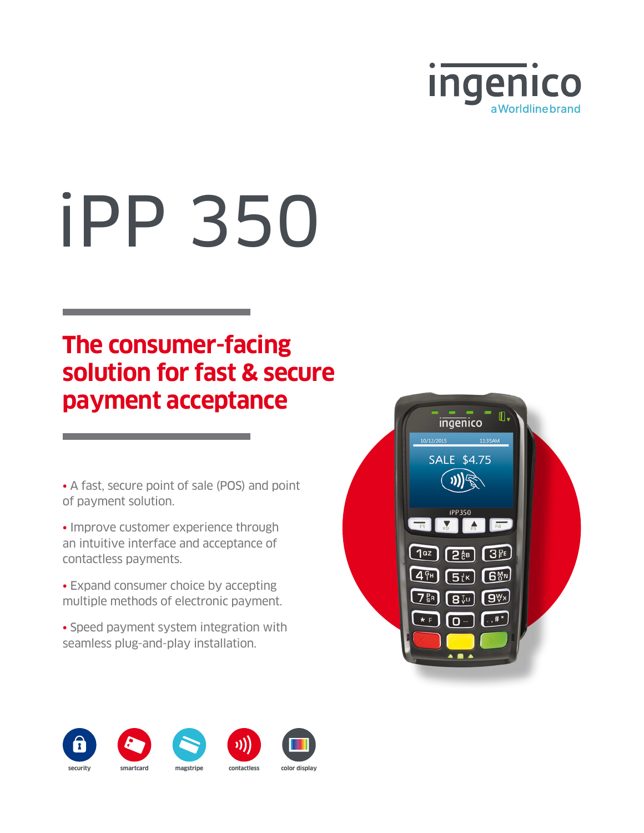

# iPP 350

## **The consumer-facing solution for fast & secure payment acceptance**

• A fast, secure point of sale (POS) and point of payment solution.

• Improve customer experience through an intuitive interface and acceptance of contactless payments.

• Expand consumer choice by accepting multiple methods of electronic payment.

• Speed payment system integration with seamless plug-and-play installation.